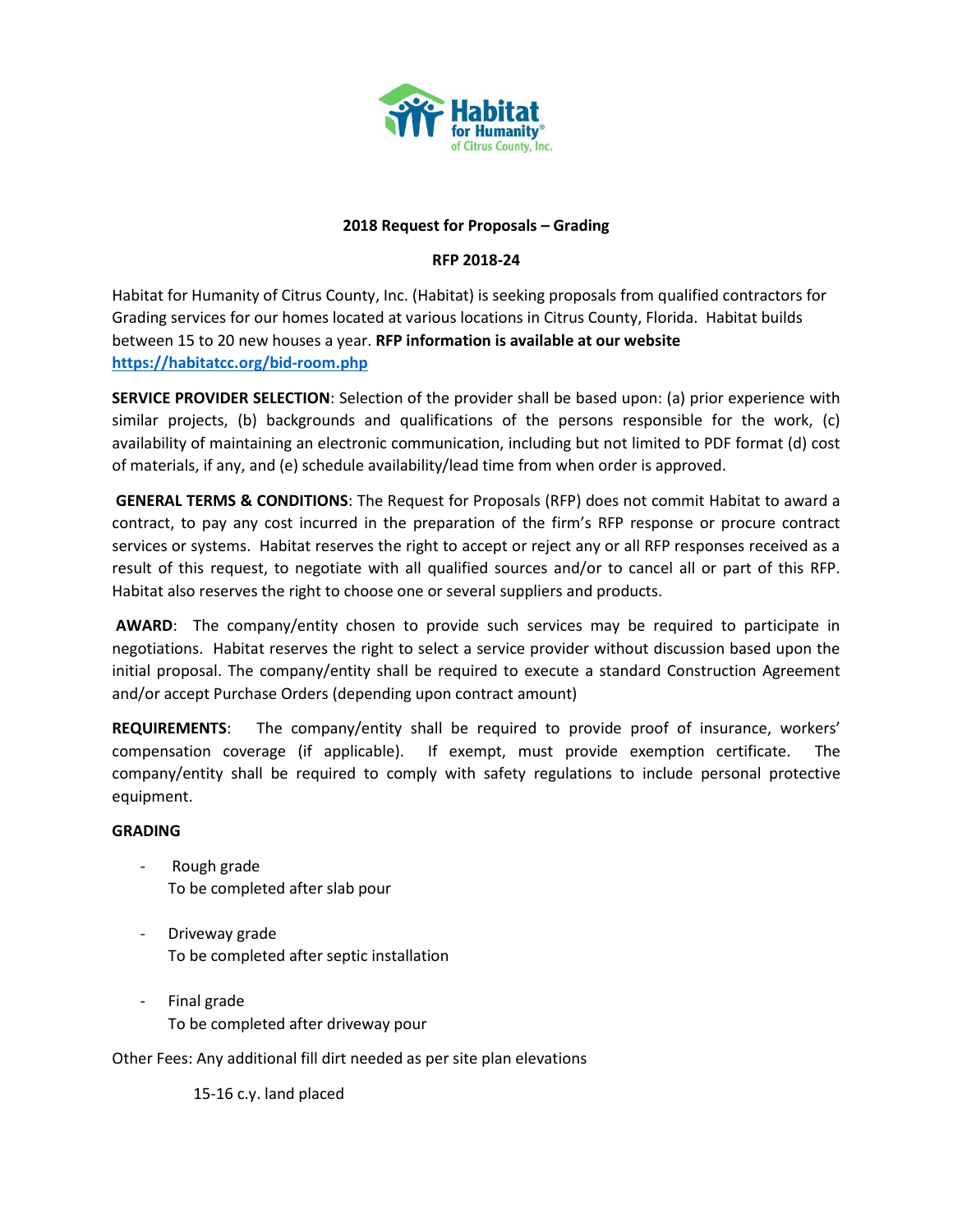

#### **2018 Request for Proposals – Grading**

# **RFP 2018-24**

Habitat for Humanity of Citrus County, Inc. (Habitat) is seeking proposals from qualified contractors for Grading services for our homes located at various locations in Citrus County, Florida. Habitat builds between 15 to 20 new houses a year. **RFP information is available at our website <https://habitatcc.org/bid-room.php>**

**SERVICE PROVIDER SELECTION**: Selection of the provider shall be based upon: (a) prior experience with similar projects, (b) backgrounds and qualifications of the persons responsible for the work, (c) availability of maintaining an electronic communication, including but not limited to PDF format (d) cost of materials, if any, and (e) schedule availability/lead time from when order is approved.

**GENERAL TERMS & CONDITIONS**: The Request for Proposals (RFP) does not commit Habitat to award a contract, to pay any cost incurred in the preparation of the firm's RFP response or procure contract services or systems. Habitat reserves the right to accept or reject any or all RFP responses received as a result of this request, to negotiate with all qualified sources and/or to cancel all or part of this RFP. Habitat also reserves the right to choose one or several suppliers and products.

**AWARD**: The company/entity chosen to provide such services may be required to participate in negotiations. Habitat reserves the right to select a service provider without discussion based upon the initial proposal. The company/entity shall be required to execute a standard Construction Agreement and/or accept Purchase Orders (depending upon contract amount)

**REQUIREMENTS**: The company/entity shall be required to provide proof of insurance, workers' compensation coverage (if applicable). If exempt, must provide exemption certificate. The company/entity shall be required to comply with safety regulations to include personal protective equipment.

#### **GRADING**

- Rough grade To be completed after slab pour
- Driveway grade To be completed after septic installation
- Final grade To be completed after driveway pour

Other Fees: Any additional fill dirt needed as per site plan elevations

15-16 c.y. land placed